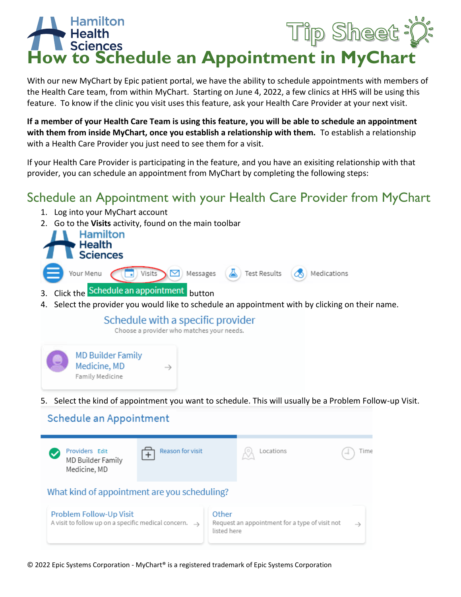# Tip Sheet **How to Schedule an Appointment in MyChart**

With our new MyChart by Epic patient portal, we have the ability to schedule appointments with members of the Health Care team, from within MyChart. Starting on June 4, 2022, a few clinics at HHS will be using this feature. To know if the clinic you visit uses this feature, ask your Health Care Provider at your next visit.

**If a member of your Health Care Team is using this feature, you will be able to schedule an appointment with them from inside MyChart, once you establish a relationship with them.** To establish a relationship with a Health Care Provider you just need to see them for a visit.

If your Health Care Provider is participating in the feature, and you have an exisiting relationship with that provider, you can schedule an appointment from MyChart by completing the following steps:

## Schedule an Appointment with your Health Care Provider from MyChart

- 1. Log into your MyChart account
- 2. Go to the **Visits** activity, found on the main toolbar



4. Select the provider you would like to schedule an appointment with by clicking on their name.

#### Schedule with a specific provider

Choose a provider who matches your needs.



5. Select the kind of appointment you want to schedule. This will usually be a Problem Follow-up Visit.

### Schedule an Appointment